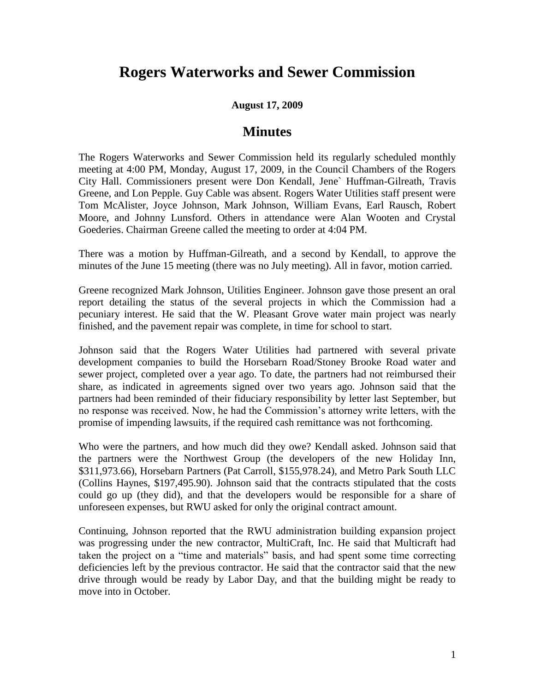## **Rogers Waterworks and Sewer Commission**

## **August 17, 2009**

## **Minutes**

The Rogers Waterworks and Sewer Commission held its regularly scheduled monthly meeting at 4:00 PM, Monday, August 17, 2009, in the Council Chambers of the Rogers City Hall. Commissioners present were Don Kendall, Jene` Huffman-Gilreath, Travis Greene, and Lon Pepple. Guy Cable was absent. Rogers Water Utilities staff present were Tom McAlister, Joyce Johnson, Mark Johnson, William Evans, Earl Rausch, Robert Moore, and Johnny Lunsford. Others in attendance were Alan Wooten and Crystal Goederies. Chairman Greene called the meeting to order at 4:04 PM.

There was a motion by Huffman-Gilreath, and a second by Kendall, to approve the minutes of the June 15 meeting (there was no July meeting). All in favor, motion carried.

Greene recognized Mark Johnson, Utilities Engineer. Johnson gave those present an oral report detailing the status of the several projects in which the Commission had a pecuniary interest. He said that the W. Pleasant Grove water main project was nearly finished, and the pavement repair was complete, in time for school to start.

Johnson said that the Rogers Water Utilities had partnered with several private development companies to build the Horsebarn Road/Stoney Brooke Road water and sewer project, completed over a year ago. To date, the partners had not reimbursed their share, as indicated in agreements signed over two years ago. Johnson said that the partners had been reminded of their fiduciary responsibility by letter last September, but no response was received. Now, he had the Commission's attorney write letters, with the promise of impending lawsuits, if the required cash remittance was not forthcoming.

Who were the partners, and how much did they owe? Kendall asked. Johnson said that the partners were the Northwest Group (the developers of the new Holiday Inn, \$311,973.66), Horsebarn Partners (Pat Carroll, \$155,978.24), and Metro Park South LLC (Collins Haynes, \$197,495.90). Johnson said that the contracts stipulated that the costs could go up (they did), and that the developers would be responsible for a share of unforeseen expenses, but RWU asked for only the original contract amount.

Continuing, Johnson reported that the RWU administration building expansion project was progressing under the new contractor, MultiCraft, Inc. He said that Multicraft had taken the project on a "time and materials" basis, and had spent some time correcting deficiencies left by the previous contractor. He said that the contractor said that the new drive through would be ready by Labor Day, and that the building might be ready to move into in October.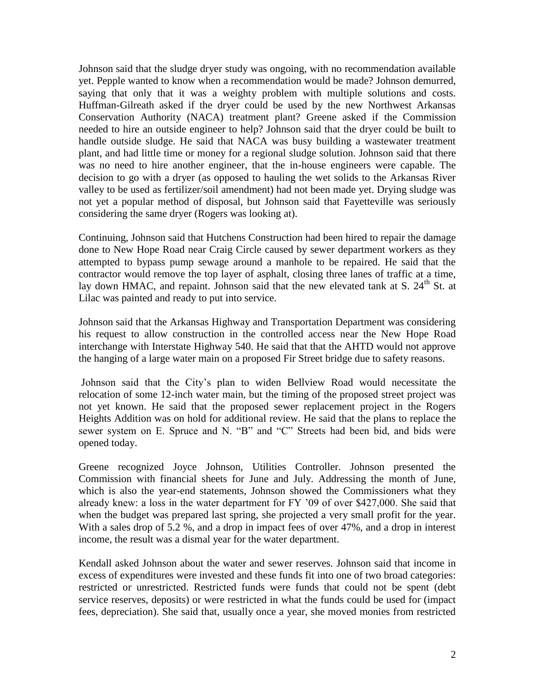Johnson said that the sludge dryer study was ongoing, with no recommendation available yet. Pepple wanted to know when a recommendation would be made? Johnson demurred, saying that only that it was a weighty problem with multiple solutions and costs. Huffman-Gilreath asked if the dryer could be used by the new Northwest Arkansas Conservation Authority (NACA) treatment plant? Greene asked if the Commission needed to hire an outside engineer to help? Johnson said that the dryer could be built to handle outside sludge. He said that NACA was busy building a wastewater treatment plant, and had little time or money for a regional sludge solution. Johnson said that there was no need to hire another engineer, that the in-house engineers were capable. The decision to go with a dryer (as opposed to hauling the wet solids to the Arkansas River valley to be used as fertilizer/soil amendment) had not been made yet. Drying sludge was not yet a popular method of disposal, but Johnson said that Fayetteville was seriously considering the same dryer (Rogers was looking at).

Continuing, Johnson said that Hutchens Construction had been hired to repair the damage done to New Hope Road near Craig Circle caused by sewer department workers as they attempted to bypass pump sewage around a manhole to be repaired. He said that the contractor would remove the top layer of asphalt, closing three lanes of traffic at a time, lay down HMAC, and repaint. Johnson said that the new elevated tank at S.  $24<sup>th</sup>$  St. at Lilac was painted and ready to put into service.

Johnson said that the Arkansas Highway and Transportation Department was considering his request to allow construction in the controlled access near the New Hope Road interchange with Interstate Highway 540. He said that that the AHTD would not approve the hanging of a large water main on a proposed Fir Street bridge due to safety reasons.

Johnson said that the City's plan to widen Bellview Road would necessitate the relocation of some 12-inch water main, but the timing of the proposed street project was not yet known. He said that the proposed sewer replacement project in the Rogers Heights Addition was on hold for additional review. He said that the plans to replace the sewer system on E. Spruce and N. "B" and "C" Streets had been bid, and bids were opened today.

Greene recognized Joyce Johnson, Utilities Controller. Johnson presented the Commission with financial sheets for June and July. Addressing the month of June, which is also the year-end statements, Johnson showed the Commissioners what they already knew: a loss in the water department for FY '09 of over \$427,000. She said that when the budget was prepared last spring, she projected a very small profit for the year. With a sales drop of 5.2 %, and a drop in impact fees of over 47%, and a drop in interest income, the result was a dismal year for the water department.

Kendall asked Johnson about the water and sewer reserves. Johnson said that income in excess of expenditures were invested and these funds fit into one of two broad categories: restricted or unrestricted. Restricted funds were funds that could not be spent (debt service reserves, deposits) or were restricted in what the funds could be used for (impact fees, depreciation). She said that, usually once a year, she moved monies from restricted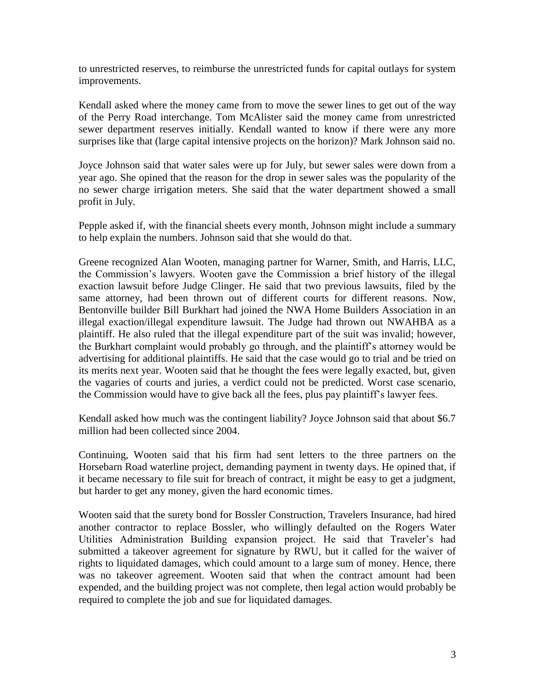to unrestricted reserves, to reimburse the unrestricted funds for capital outlays for system improvements.

Kendall asked where the money came from to move the sewer lines to get out of the way of the Perry Road interchange. Tom McAlister said the money came from unrestricted sewer department reserves initially. Kendall wanted to know if there were any more surprises like that (large capital intensive projects on the horizon)? Mark Johnson said no.

Joyce Johnson said that water sales were up for July, but sewer sales were down from a year ago. She opined that the reason for the drop in sewer sales was the popularity of the no sewer charge irrigation meters. She said that the water department showed a small profit in July.

Pepple asked if, with the financial sheets every month, Johnson might include a summary to help explain the numbers. Johnson said that she would do that.

Greene recognized Alan Wooten, managing partner for Warner, Smith, and Harris, LLC, the Commission's lawyers. Wooten gave the Commission a brief history of the illegal exaction lawsuit before Judge Clinger. He said that two previous lawsuits, filed by the same attorney, had been thrown out of different courts for different reasons. Now, Bentonville builder Bill Burkhart had joined the NWA Home Builders Association in an illegal exaction/illegal expenditure lawsuit. The Judge had thrown out NWAHBA as a plaintiff. He also ruled that the illegal expenditure part of the suit was invalid; however, the Burkhart complaint would probably go through, and the plaintiff's attorney would be advertising for additional plaintiffs. He said that the case would go to trial and be tried on its merits next year. Wooten said that he thought the fees were legally exacted, but, given the vagaries of courts and juries, a verdict could not be predicted. Worst case scenario, the Commission would have to give back all the fees, plus pay plaintiff's lawyer fees.

Kendall asked how much was the contingent liability? Joyce Johnson said that about \$6.7 million had been collected since 2004.

Continuing, Wooten said that his firm had sent letters to the three partners on the Horsebarn Road waterline project, demanding payment in twenty days. He opined that, if it became necessary to file suit for breach of contract, it might be easy to get a judgment, but harder to get any money, given the hard economic times.

Wooten said that the surety bond for Bossler Construction, Travelers Insurance, had hired another contractor to replace Bossler, who willingly defaulted on the Rogers Water Utilities Administration Building expansion project. He said that Traveler's had submitted a takeover agreement for signature by RWU, but it called for the waiver of rights to liquidated damages, which could amount to a large sum of money. Hence, there was no takeover agreement. Wooten said that when the contract amount had been expended, and the building project was not complete, then legal action would probably be required to complete the job and sue for liquidated damages.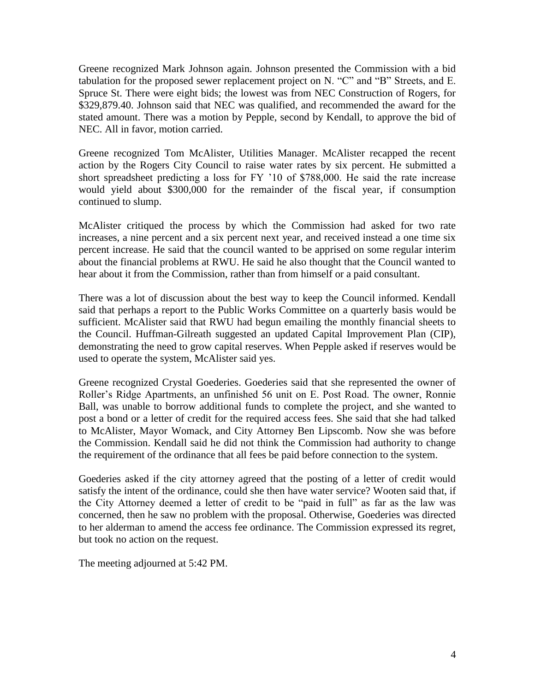Greene recognized Mark Johnson again. Johnson presented the Commission with a bid tabulation for the proposed sewer replacement project on N. "C" and "B" Streets, and E. Spruce St. There were eight bids; the lowest was from NEC Construction of Rogers, for \$329,879.40. Johnson said that NEC was qualified, and recommended the award for the stated amount. There was a motion by Pepple, second by Kendall, to approve the bid of NEC. All in favor, motion carried.

Greene recognized Tom McAlister, Utilities Manager. McAlister recapped the recent action by the Rogers City Council to raise water rates by six percent. He submitted a short spreadsheet predicting a loss for FY '10 of \$788,000. He said the rate increase would yield about \$300,000 for the remainder of the fiscal year, if consumption continued to slump.

McAlister critiqued the process by which the Commission had asked for two rate increases, a nine percent and a six percent next year, and received instead a one time six percent increase. He said that the council wanted to be apprised on some regular interim about the financial problems at RWU. He said he also thought that the Council wanted to hear about it from the Commission, rather than from himself or a paid consultant.

There was a lot of discussion about the best way to keep the Council informed. Kendall said that perhaps a report to the Public Works Committee on a quarterly basis would be sufficient. McAlister said that RWU had begun emailing the monthly financial sheets to the Council. Huffman-Gilreath suggested an updated Capital Improvement Plan (CIP), demonstrating the need to grow capital reserves. When Pepple asked if reserves would be used to operate the system, McAlister said yes.

Greene recognized Crystal Goederies. Goederies said that she represented the owner of Roller's Ridge Apartments, an unfinished 56 unit on E. Post Road. The owner, Ronnie Ball, was unable to borrow additional funds to complete the project, and she wanted to post a bond or a letter of credit for the required access fees. She said that she had talked to McAlister, Mayor Womack, and City Attorney Ben Lipscomb. Now she was before the Commission. Kendall said he did not think the Commission had authority to change the requirement of the ordinance that all fees be paid before connection to the system.

Goederies asked if the city attorney agreed that the posting of a letter of credit would satisfy the intent of the ordinance, could she then have water service? Wooten said that, if the City Attorney deemed a letter of credit to be "paid in full" as far as the law was concerned, then he saw no problem with the proposal. Otherwise, Goederies was directed to her alderman to amend the access fee ordinance. The Commission expressed its regret, but took no action on the request.

The meeting adjourned at 5:42 PM.